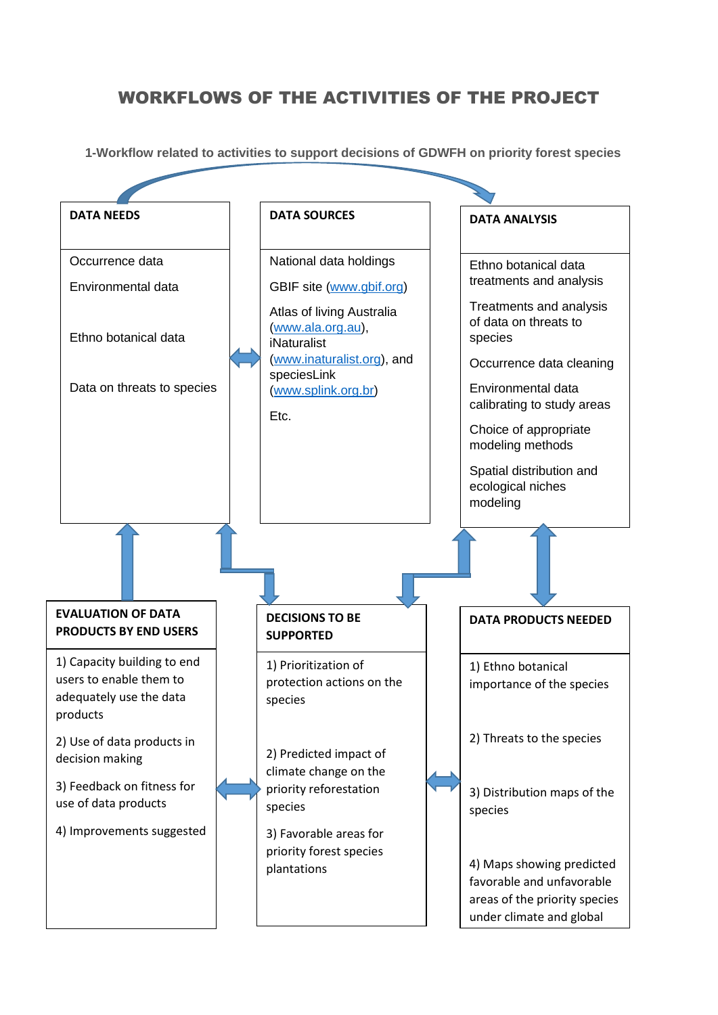## WORKFLOWS OF THE ACTIVITIES OF THE PROJECT

**1-Workflow related to activities to support decisions of GDWFH on priority forest species**

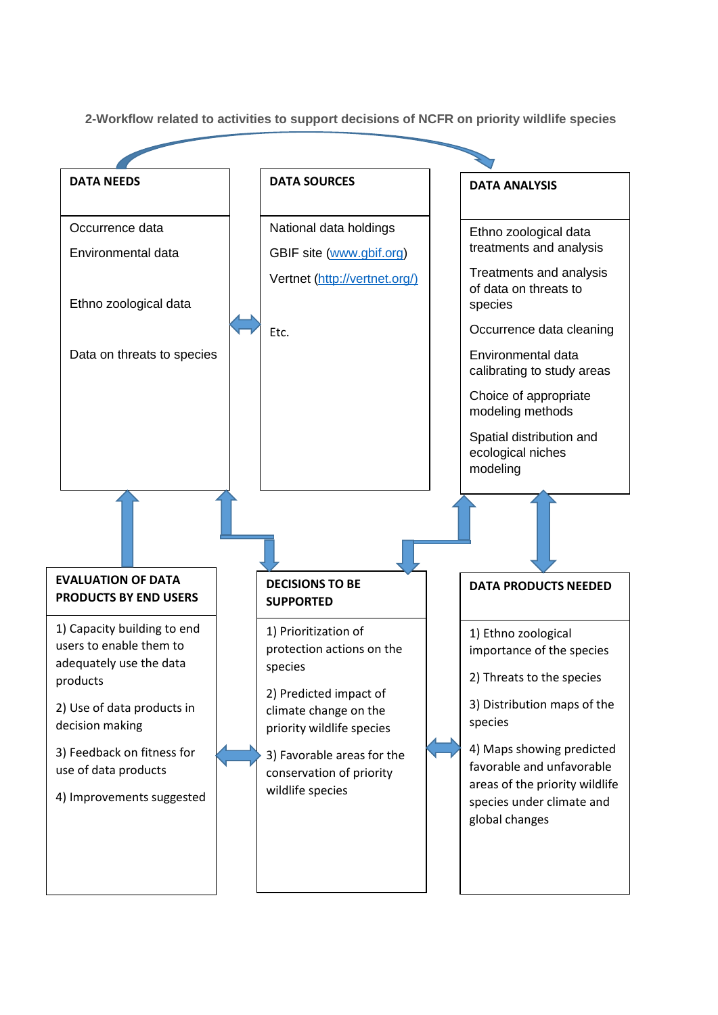**2-Workflow related to activities to support decisions of NCFR on priority wildlife species**

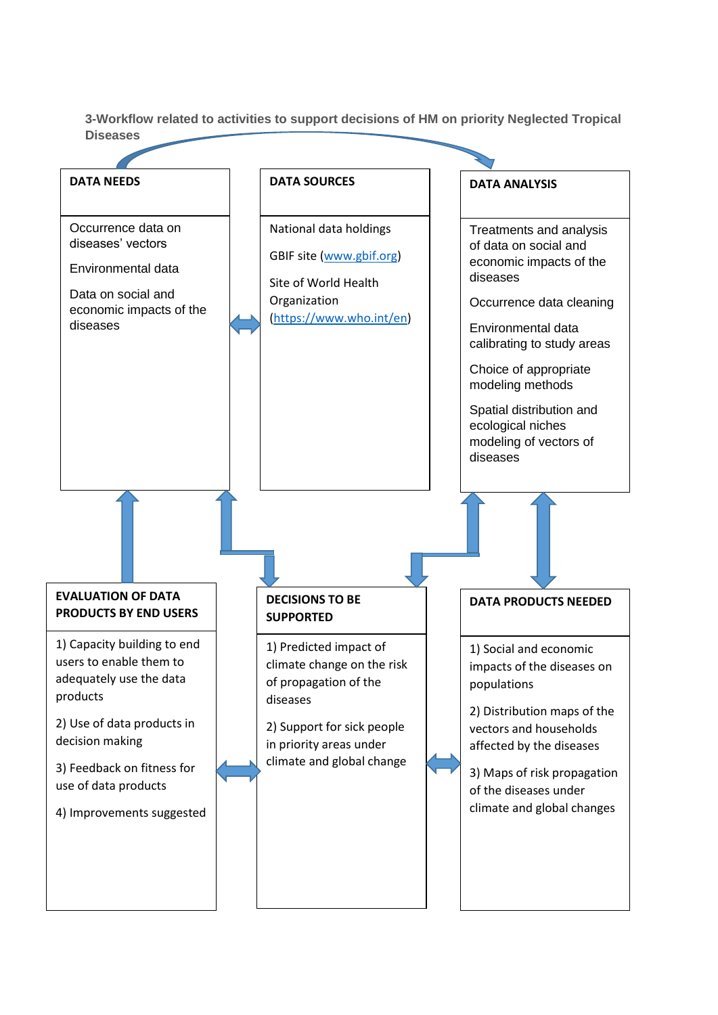**3-Workflow related to activities to support decisions of HM on priority Neglected Tropical Diseases**